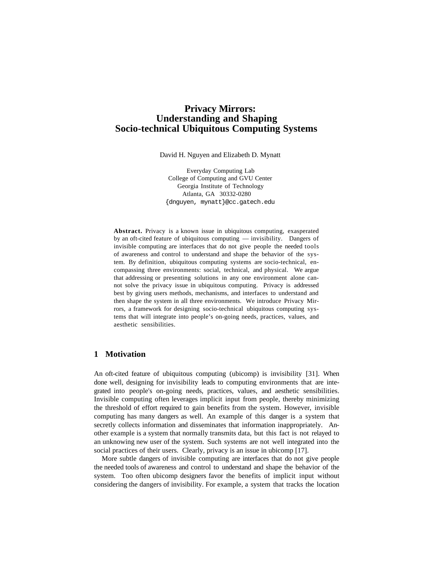# **Privacy Mirrors: Understanding and Shaping Socio-technical Ubiquitous Computing Systems**

David H. Nguyen and Elizabeth D. Mynatt

Everyday Computing Lab College of Computing and GVU Center Georgia Institute of Technology Atlanta, GA 30332-0280 {dnguyen, mynatt}@cc.gatech.edu

**Abstract.** Privacy is a known issue in ubiquitous computing, exasperated by an oft-cited feature of ubiquitous computing — invisibility. Dangers of invisible computing are interfaces that do not give people the needed tools of awareness and control to understand and shape the behavior of the system. By definition, ubiquitous computing systems are socio-technical, encompassing three environments: social, technical, and physical. We argue that addressing or presenting solutions in any one environment alone cannot solve the privacy issue in ubiquitous computing. Privacy is addressed best by giving users methods, mechanisms, and interfaces to understand and then shape the system in all three environments. We introduce Privacy Mirrors, a framework for designing socio-technical ubiquitous computing systems that will integrate into people's on-going needs, practices, values, and aesthetic sensibilities.

## **1 Motivation**

An oft-cited feature of ubiquitous computing (ubicomp) is invisibility [31]. When done well, designing for invisibility leads to computing environments that are integrated into people's on-going needs, practices, values, and aesthetic sensibilities. Invisible computing often leverages implicit input from people, thereby minimizing the threshold of effort required to gain benefits from the system. However, invisible computing has many dangers as well. An example of this danger is a system that secretly collects information and disseminates that information inappropriately. Another example is a system that normally transmits data, but this fact is not relayed to an unknowing new user of the system. Such systems are not well integrated into the social practices of their users. Clearly, privacy is an issue in ubicomp [17].

More subtle dangers of invisible computing are interfaces that do not give people the needed tools of awareness and control to understand and shape the behavior of the system. Too often ubicomp designers favor the benefits of implicit input without considering the dangers of invisibility. For example, a system that tracks the location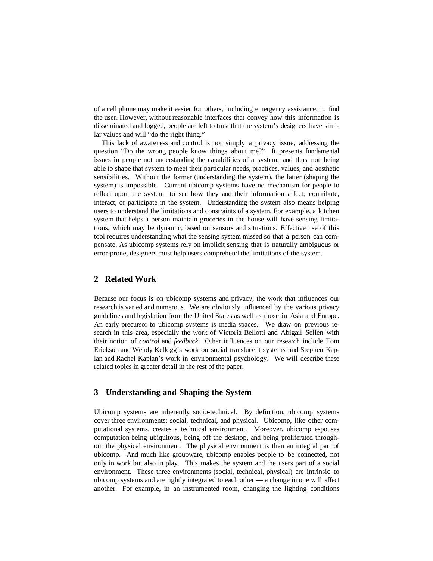of a cell phone may make it easier for others, including emergency assistance, to find the user. However, without reasonable interfaces that convey how this information is disseminated and logged, people are left to trust that the system's designers have similar values and will "do the right thing."

This lack of awareness and control is not simply a privacy issue, addressing the question "Do the wrong people know things about me?" It presents fundamental issues in people not understanding the capabilities of a system, and thus not being able to shape that system to meet their particular needs, practices, values, and aesthetic sensibilities. Without the former (understanding the system), the latter (shaping the system) is impossible. Current ubicomp systems have no mechanism for people to reflect upon the system, to see how they and their information affect, contribute, interact, or participate in the system. Understanding the system also means helping users to understand the limitations and constraints of a system. For example, a kitchen system that helps a person maintain groceries in the house will have sensing limitations, which may be dynamic, based on sensors and situations. Effective use of this tool requires understanding what the sensing system missed so that a person can compensate. As ubicomp systems rely on implicit sensing that is naturally ambiguous or error-prone, designers must help users comprehend the limitations of the system.

## **2 Related Work**

Because our focus is on ubicomp systems and privacy, the work that influences our research is varied and numerous. We are obviously influenced by the various privacy guidelines and legislation from the United States as well as those in Asia and Europe. An early precursor to ubicomp systems is media spaces. We draw on previous research in this area, especially the work of Victoria Bellotti and Abigail Sellen with their notion of *control* and *feedback.* Other influences on our research include Tom Erickson and Wendy Kellogg's work on social translucent systems and Stephen Kaplan and Rachel Kaplan's work in environmental psychology. We will describe these related topics in greater detail in the rest of the paper.

## **3 Understanding and Shaping the System**

Ubicomp systems are inherently socio-technical. By definition, ubicomp systems cover three environments: social, technical, and physical. Ubicomp, like other computational systems, creates a technical environment. Moreover, ubicomp espouses computation being ubiquitous, being off the desktop, and being proliferated throughout the physical environment. The physical environment is then an integral part of ubicomp. And much like groupware, ubicomp enables people to be connected, not only in work but also in play. This makes the system and the users part of a social environment. These three environments (social, technical, physical) are intrinsic to ubicomp systems and are tightly integrated to each other — a change in one will affect another. For example, in an instrumented room, changing the lighting conditions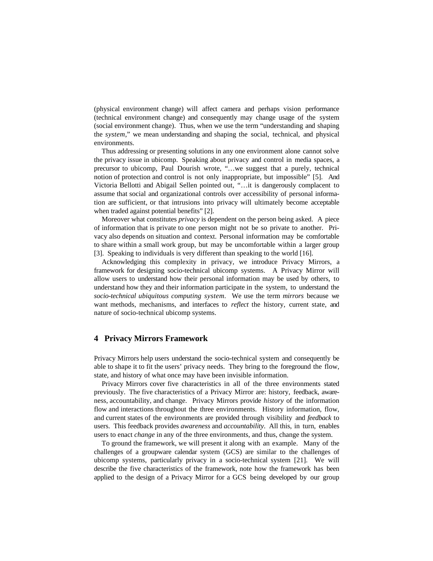(physical environment change) will affect camera and perhaps vision performance (technical environment change) and consequently may change usage of the system (social environment change). Thus, when we use the term "understanding and shaping the *system*," we mean understanding and shaping the social, technical, and physical environments.

Thus addressing or presenting solutions in any one environment alone cannot solve the privacy issue in ubicomp. Speaking about privacy and control in media spaces, a precursor to ubicomp, Paul Dourish wrote, "…we suggest that a purely, technical notion of protection and control is not only inappropriate, but impossible" [5]. And Victoria Bellotti and Abigail Sellen pointed out, "…it is dangerously complacent to assume that social and organizational controls over accessibility of personal information are sufficient, or that intrusions into privacy will ultimately become acceptable when traded against potential benefits" [2].

Moreover what constitutes *privacy* is dependent on the person being asked. A piece of information that is private to one person might not be so private to another. Privacy also depends on situation and context. Personal information may be comfortable to share within a small work group, but may be uncomfortable within a larger group [3]. Speaking to individuals is very different than speaking to the world [16].

Acknowledging this complexity in privacy, we introduce Privacy Mirrors, a framework for designing socio-technical ubicomp systems. A Privacy Mirror will allow users to understand how their personal information may be used by others, to understand how they and their information participate in the system, to understand the *socio-technical ubiquitous computing system.* We use the term *mirrors* because we want methods, mechanisms, and interfaces to *reflect* the history, current state, and nature of socio-technical ubicomp systems.

## **4 Privacy Mirrors Framework**

Privacy Mirrors help users understand the socio-technical system and consequently be able to shape it to fit the users' privacy needs. They bring to the foreground the flow, state, and history of what once may have been invisible information.

Privacy Mirrors cover five characteristics in all of the three environments stated previously. The five characteristics of a Privacy Mirror are: history, feedback, awareness, accountability, and change. Privacy Mirrors provide *history* of the information flow and interactions throughout the three environments. History information, flow, and current states of the environments are provided through visibility and *feedback* to users. This feedback provides *awareness* and *accountability*. All this, in turn, enables users to enact *change* in any of the three environments, and thus, change the system.

To ground the framework, we will present it along with an example. Many of the challenges of a groupware calendar system (GCS) are similar to the challenges of ubicomp systems, particularly privacy in a socio-technical system [21]. We will describe the five characteristics of the framework, note how the framework has been applied to the design of a Privacy Mirror for a GCS being developed by our group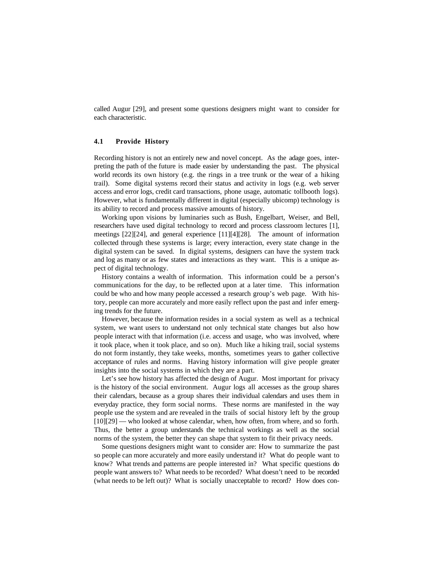called Augur [29], and present some questions designers might want to consider for each characteristic.

### **4.1 Provide History**

Recording history is not an entirely new and novel concept. As the adage goes, interpreting the path of the future is made easier by understanding the past. The physical world records its own history (e.g. the rings in a tree trunk or the wear of a hiking trail). Some digital systems record their status and activity in logs (e.g. web server access and error logs, credit card transactions, phone usage, automatic tollbooth logs). However, what is fundamentally different in digital (especially ubicomp) technology is its ability to record and process massive amounts of history.

Working upon visions by luminaries such as Bush, Engelbart, Weiser, and Bell, researchers have used digital technology to record and process classroom lectures [1], meetings [22][24], and general experience [11][4][28]. The amount of information collected through these systems is large; every interaction, every state change in the digital system can be saved. In digital systems, designers can have the system track and log as many or as few states and interactions as they want. This is a unique aspect of digital technology.

History contains a wealth of information. This information could be a person's communications for the day, to be reflected upon at a later time. This information could be who and how many people accessed a research group's web page. With history, people can more accurately and more easily reflect upon the past and infer emerging trends for the future.

However, because the information resides in a social system as well as a technical system, we want users to understand not only technical state changes but also how people interact with that information (i.e. access and usage, who was involved, where it took place, when it took place, and so on). Much like a hiking trail, social systems do not form instantly, they take weeks, months, sometimes years to gather collective acceptance of rules and norms. Having history information will give people greater insights into the social systems in which they are a part.

Let's see how history has affected the design of Augur. Most important for privacy is the history of the social environment. Augur logs all accesses as the group shares their calendars, because as a group shares their individual calendars and uses them in everyday practice, they form social norms. These norms are manifested in the way people use the system and are revealed in the trails of social history left by the group [10][29] — who looked at whose calendar, when, how often, from where, and so forth. Thus, the better a group understands the technical workings as well as the social norms of the system, the better they can shape that system to fit their privacy needs.

Some questions designers might want to consider are: How to summarize the past so people can more accurately and more easily understand it? What do people want to know? What trends and patterns are people interested in? What specific questions do people want answers to? What needs to be recorded? What doesn't need to be recorded (what needs to be left out)? What is socially unacceptable to record? How does con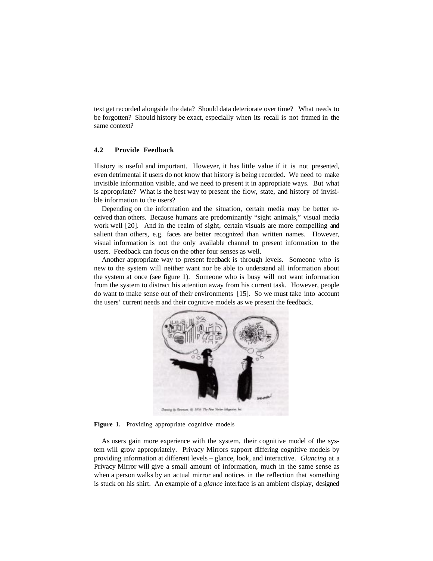text get recorded alongside the data? Should data deteriorate over time? What needs to be forgotten? Should history be exact, especially when its recall is not framed in the same context?

### **4.2 Provide Feedback**

History is useful and important. However, it has little value if it is not presented, even detrimental if users do not know that history is being recorded. We need to make invisible information visible, and we need to present it in appropriate ways. But what is appropriate? What is the best way to present the flow, state, and history of invisible information to the users?

Depending on the information and the situation, certain media may be better received than others. Because humans are predominantly "sight animals," visual media work well [20]. And in the realm of sight, certain visuals are more compelling and salient than others, e.g. faces are better recognized than written names. However, visual information is not the only available channel to present information to the users. Feedback can focus on the other four senses as well.

Another appropriate way to present feedback is through levels. Someone who is new to the system will neither want nor be able to understand all information about the system at once (see figure 1). Someone who is busy will not want information from the system to distract his attention away from his current task. However, people do want to make sense out of their environments [15]. So we must take into account the users' current needs and their cognitive models as we present the feedback.



Figure 1. Providing appropriate cognitive models

As users gain more experience with the system, their cognitive model of the system will grow appropriately. Privacy Mirrors support differing cognitive models by providing information at different levels – glance, look, and interactive. *Glancing* at a Privacy Mirror will give a small amount of information, much in the same sense as when a person walks by an actual mirror and notices in the reflection that something is stuck on his shirt. An example of a *glance* interface is an ambient display, designed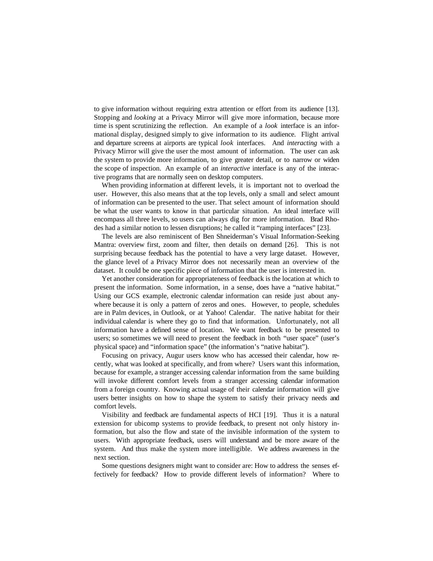to give information without requiring extra attention or effort from its audience [13]. Stopping and *looking* at a Privacy Mirror will give more information, because more time is spent scrutinizing the reflection. An example of a *look* interface is an informational display, designed simply to give information to its audience. Flight arrival and departure screens at airports are typical *look* interfaces. And *interacting* with a Privacy Mirror will give the user the most amount of information. The user can ask the system to provide more information, to give greater detail, or to narrow or widen the scope of inspection. An example of an *interactive* interface is any of the interactive programs that are normally seen on desktop computers.

When providing information at different levels, it is important not to overload the user. However, this also means that at the top levels, only a small and select amount of information can be presented to the user. That select amount of information should be what the user wants to know in that particular situation. An ideal interface will encompass all three levels, so users can always dig for more information. Brad Rhodes had a similar notion to lessen disruptions; he called it "ramping interfaces" [23].

The levels are also reminiscent of Ben Shneiderman's Visual Information-Seeking Mantra: overview first, zoom and filter, then details on demand [26]. This is not surprising because feedback has the potential to have a very large dataset. However, the glance level of a Privacy Mirror does not necessarily mean an overview of the dataset. It could be one specific piece of information that the user is interested in.

Yet another consideration for appropriateness of feedback is the location at which to present the information. Some information, in a sense, does have a "native habitat." Using our GCS example, electronic calendar information can reside just about anywhere because it is only a pattern of zeros and ones. However, to people, schedules are in Palm devices, in Outlook, or at Yahoo! Calendar. The native habitat for their individual calendar is where they go to find that information. Unfortunately, not all information have a defined sense of location. We want feedback to be presented to users; so sometimes we will need to present the feedback in both "user space" (user's physical space) and "information space" (the information's "native habitat").

Focusing on privacy, Augur users know who has accessed their calendar, how recently, what was looked at specifically, and from where? Users want this information, because for example, a stranger accessing calendar information from the same building will invoke different comfort levels from a stranger accessing calendar information from a foreign country. Knowing actual usage of their calendar information will give users better insights on how to shape the system to satisfy their privacy needs and comfort levels.

Visibility and feedback are fundamental aspects of HCI [19]. Thus it is a natural extension for ubicomp systems to provide feedback, to present not only history information, but also the flow and state of the invisible information of the system to users. With appropriate feedback, users will understand and be more aware of the system. And thus make the system more intelligible. We address awareness in the next section.

Some questions designers might want to consider are: How to address the senses effectively for feedback? How to provide different levels of information? Where to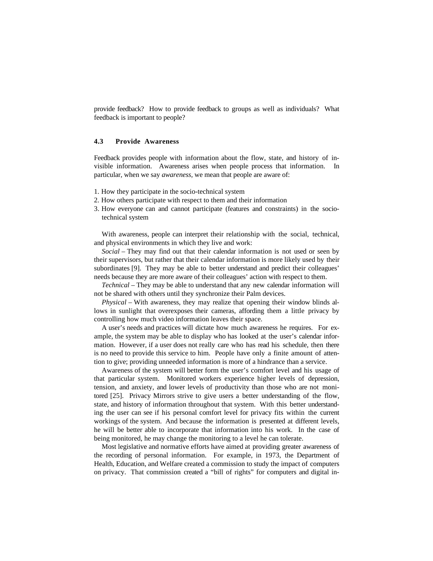provide feedback? How to provide feedback to groups as well as individuals? What feedback is important to people?

#### **4.3 Provide Awareness**

Feedback provides people with information about the flow, state, and history of invisible information. Awareness arises when people process that information. In particular, when we say *awareness,* we mean that people are aware of:

- 1. How they participate in the socio-technical system
- 2. How others participate with respect to them and their information
- 3. How everyone can and cannot participate (features and constraints) in the sociotechnical system

With awareness, people can interpret their relationship with the social, technical, and physical environments in which they live and work:

*Social* – They may find out that their calendar information is not used or seen by their supervisors, but rather that their calendar information is more likely used by their subordinates [9]. They may be able to better understand and predict their colleagues' needs because they are more aware of their colleagues' action with respect to them.

*Technical* – They may be able to understand that any new calendar information will not be shared with others until they synchronize their Palm devices.

*Physical* – With awareness, they may realize that opening their window blinds allows in sunlight that overexposes their cameras, affording them a little privacy by controlling how much video information leaves their space.

A user's needs and practices will dictate how much awareness he requires. For example, the system may be able to display who has looked at the user's calendar information. However, if a user does not really care who has read his schedule, then there is no need to provide this service to him. People have only a finite amount of attention to give; providing unneeded information is more of a hindrance than a service.

Awareness of the system will better form the user's comfort level and his usage of that particular system. Monitored workers experience higher levels of depression, tension, and anxiety, and lower levels of productivity than those who are not monitored [25]. Privacy Mirrors strive to give users a better understanding of the flow, state, and history of information throughout that system. With this better understanding the user can see if his personal comfort level for privacy fits within the current workings of the system. And because the information is presented at different levels, he will be better able to incorporate that information into his work. In the case of being monitored, he may change the monitoring to a level he can tolerate.

Most legislative and normative efforts have aimed at providing greater awareness of the recording of personal information. For example, in 1973, the Department of Health, Education, and Welfare created a commission to study the impact of computers on privacy. That commission created a "bill of rights" for computers and digital in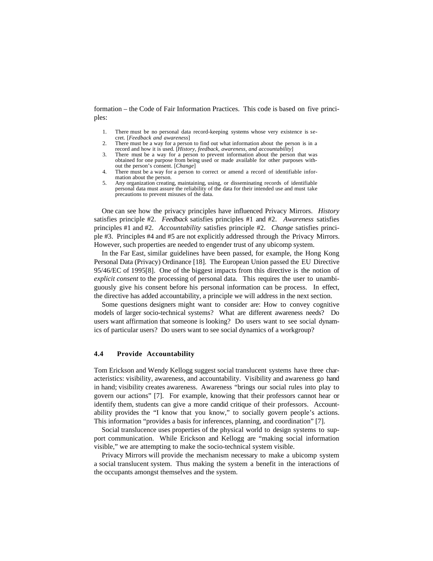formation – the Code of Fair Information Practices. This code is based on five principles:

- 1. There must be no personal data record-keeping systems whose very existence is secret. [*Feedback and awareness*]
- 2. There must be a way for a person to find out what information about the person is in a record and how it is used. [*History, feedback, awareness, and accountability*]
- 3. There must be a way for a person to prevent information about the person that was obtained for one purpose from being used or made available for other purposes without the person's consent. [*Change*]
- 4. There must be a way for a person to correct or amend a record of identifiable information about the person.
- 5. Any organization creating, maintaining, using, or disseminating records of identifiable personal data must assure the reliability of the data for their intended use and must take precautions to prevent misuses of the data.

One can see how the privacy principles have influenced Privacy Mirrors. *History* satisfies principle #2. *Feedback* satisfies principles #1 and #2. *Awareness* satisfies principles #1 and #2. *Accountability* satisfies principle #2. *Change* satisfies principle #3. Principles #4 and #5 are not explicitly addressed through the Privacy Mirrors. However, such properties are needed to engender trust of any ubicomp system.

In the Far East, similar guidelines have been passed, for example, the Hong Kong Personal Data (Privacy) Ordinance [18]. The European Union passed the EU Directive 95/46/EC of 1995[8]. One of the biggest impacts from this directive is the notion of *explicit consent* to the processing of personal data. This requires the user to unambiguously give his consent before his personal information can be process. In effect, the directive has added accountability, a principle we will address in the next section.

Some questions designers might want to consider are: How to convey cognitive models of larger socio-technical systems? What are different awareness needs? Do users want affirmation that someone is looking? Do users want to see social dynamics of particular users? Do users want to see social dynamics of a workgroup?

### **4.4 Provide Accountability**

Tom Erickson and Wendy Kellogg suggest social translucent systems have three characteristics: visibility, awareness, and accountability. Visibility and awareness go hand in hand; visibility creates awareness. Awareness "brings our social rules into play to govern our actions" [7]. For example, knowing that their professors cannot hear or identify them, students can give a more candid critique of their professors. Accountability provides the "I know that you know," to socially govern people's actions. This information "provides a basis for inferences, planning, and coordination" [7].

Social translucence uses properties of the physical world to design systems to support communication. While Erickson and Kellogg are "making social information visible," we are attempting to make the socio-technical system visible.

Privacy Mirrors will provide the mechanism necessary to make a ubicomp system a social translucent system. Thus making the system a benefit in the interactions of the occupants amongst themselves and the system.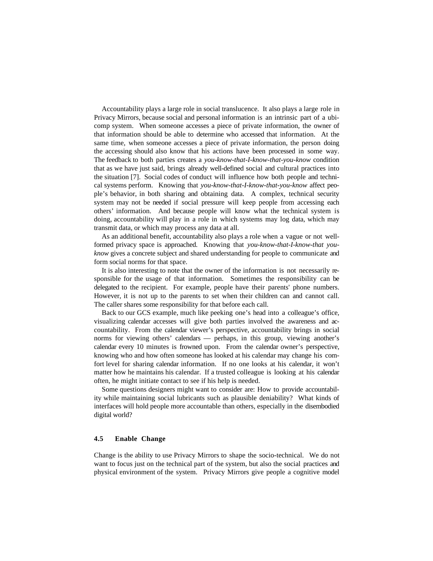Accountability plays a large role in social translucence. It also plays a large role in Privacy Mirrors, because social and personal information is an intrinsic part of a ubicomp system. When someone accesses a piece of private information, the owner of that information should be able to determine who accessed that information. At the same time, when someone accesses a piece of private information, the person doing the accessing should also know that his actions have been processed in some way. The feedback to both parties creates a *you-know-that-I-know-that-you-know* condition that as we have just said, brings already well-defined social and cultural practices into the situation [7]. Social codes of conduct will influence how both people and technical systems perform. Knowing that *you-know-that-I-know-that-you-know* affect people's behavior, in both sharing and obtaining data. A complex, technical security system may not be needed if social pressure will keep people from accessing each others' information. And because people will know what the technical system is doing, accountability will play in a role in which systems may log data, which may transmit data, or which may process any data at all.

As an additional benefit, accountability also plays a role when a vague or not wellformed privacy space is approached. Knowing that *you-know-that-I-know-that youknow* gives a concrete subject and shared understanding for people to communicate and form social norms for that space.

It is also interesting to note that the owner of the information is not necessarily responsible for the usage of that information. Sometimes the responsibility can be delegated to the recipient. For example, people have their parents' phone numbers. However, it is not up to the parents to set when their children can and cannot call. The caller shares some responsibility for that before each call.

Back to our GCS example, much like peeking one's head into a colleague's office, visualizing calendar accesses will give both parties involved the awareness and accountability. From the calendar viewer's perspective, accountability brings in social norms for viewing others' calendars — perhaps, in this group, viewing another's calendar every 10 minutes is frowned upon. From the calendar owner's perspective, knowing who and how often someone has looked at his calendar may change his comfort level for sharing calendar information. If no one looks at his calendar, it won't matter how he maintains his calendar. If a trusted colleague is looking at his calendar often, he might initiate contact to see if his help is needed.

Some questions designers might want to consider are: How to provide accountability while maintaining social lubricants such as plausible deniability? What kinds of interfaces will hold people more accountable than others, especially in the disembodied digital world?

### **4.5 Enable Change**

Change is the ability to use Privacy Mirrors to shape the socio-technical. We do not want to focus just on the technical part of the system, but also the social practices and physical environment of the system. Privacy Mirrors give people a cognitive model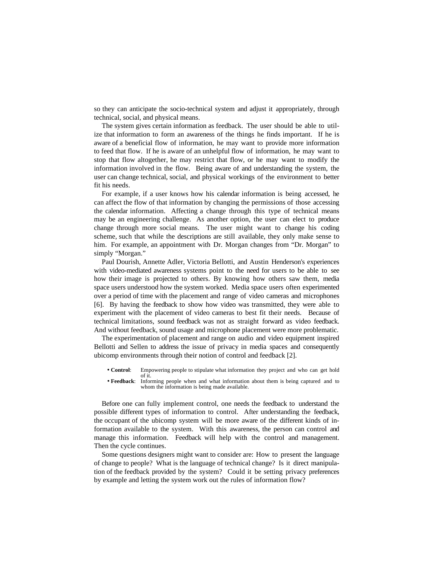so they can anticipate the socio-technical system and adjust it appropriately, through technical, social, and physical means.

The system gives certain information as feedback. The user should be able to utilize that information to form an awareness of the things he finds important. If he is aware of a beneficial flow of information, he may want to provide more information to feed that flow. If he is aware of an unhelpful flow of information, he may want to stop that flow altogether, he may restrict that flow, or he may want to modify the information involved in the flow. Being aware of and understanding the system, the user can change technical, social, and physical workings of the environment to better fit his needs.

For example, if a user knows how his calendar information is being accessed, he can affect the flow of that information by changing the permissions of those accessing the calendar information. Affecting a change through this type of technical means may be an engineering challenge. As another option, the user can elect to produce change through more social means. The user might want to change his coding scheme, such that while the descriptions are still available, they only make sense to him. For example, an appointment with Dr. Morgan changes from "Dr. Morgan" to simply "Morgan."

Paul Dourish, Annette Adler, Victoria Bellotti, and Austin Henderson's experiences with video-mediated awareness systems point to the need for users to be able to see how their image is projected to others. By knowing how others saw them, media space users understood how the system worked. Media space users often experimented over a period of time with the placement and range of video cameras and microphones [6]. By having the feedback to show how video was transmitted, they were able to experiment with the placement of video cameras to best fit their needs. Because of technical limitations, sound feedback was not as straight forward as video feedback. And without feedback, sound usage and microphone placement were more problematic.

The experimentation of placement and range on audio and video equipment inspired Bellotti and Sellen to address the issue of privacy in media spaces and consequently ubicomp environments through their notion of control and feedback [2].

- **Control**: Empowering people to stipulate what information they project and who can get hold of it.
- **Feedback**: Informing people when and what information about them is being captured and to whom the information is being made available.

Before one can fully implement control, one needs the feedback to understand the possible different types of information to control. After understanding the feedback, the occupant of the ubicomp system will be more aware of the different kinds of information available to the system. With this awareness, the person can control and manage this information. Feedback will help with the control and management. Then the cycle continues.

Some questions designers might want to consider are: How to present the language of change to people? What is the language of technical change? Is it direct manipulation of the feedback provided by the system? Could it be setting privacy preferences by example and letting the system work out the rules of information flow?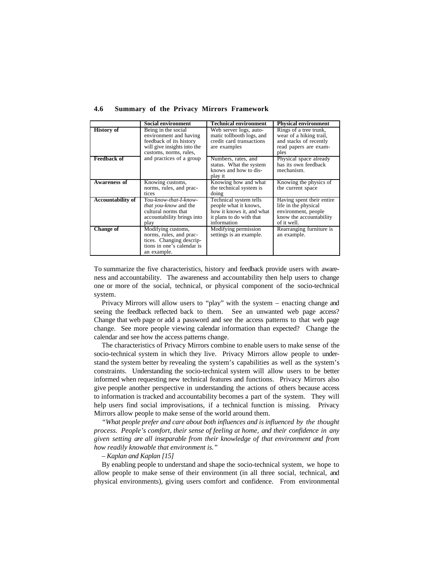|                          | <b>Social environment</b>                                                                                                         | <b>Technical environment</b>                                                                                            | <b>Physical environment</b>                                                                                        |
|--------------------------|-----------------------------------------------------------------------------------------------------------------------------------|-------------------------------------------------------------------------------------------------------------------------|--------------------------------------------------------------------------------------------------------------------|
| <b>History of</b>        | Being in the social<br>environment and having<br>feedback of its history<br>will give insights into the<br>customs, norms, rules, | Web server logs, auto-<br>matic tollbooth logs, and<br>credit card transactions<br>are examples                         | Rings of a tree trunk,<br>wear of a hiking trail,<br>and stacks of recently<br>read papers are exam-<br>ples       |
| <b>Feedback of</b>       | and practices of a group                                                                                                          | Numbers, rates, and<br>status. What the system<br>knows and how to dis-<br>play it                                      | Physical space already<br>has its own feedback<br>mechanism.                                                       |
| Awareness of             | Knowing customs,<br>norms, rules, and prac-<br>tices                                                                              | Knowing how and what<br>the technical system is<br>doing                                                                | Knowing the physics of<br>the current space                                                                        |
| <b>Accountability of</b> | You-know-that-I-know-<br><i>that you-know</i> and the<br>cultural norms that<br>accountability brings into<br>play                | Technical system tells<br>people what it knows,<br>how it knows it, and what<br>it plans to do with that<br>information | Having spent their entire<br>life in the physical<br>environment, people<br>know the accountability<br>of it well. |
| <b>Change of</b>         | Modifying customs,<br>norms, rules, and prac-<br>tices. Changing descrip-<br>tions in one's calendar is<br>an example.            | Modifying permission<br>settings is an example.                                                                         | Rearranging furniture is<br>an example.                                                                            |

**4.6 Summary of the Privacy Mirrors Framework**

To summarize the five characteristics, history and feedback provide users with awareness and accountability. The awareness and accountability then help users to change one or more of the social, technical, or physical component of the socio-technical system.

Privacy Mirrors will allow users to "play" with the system – enacting change and seeing the feedback reflected back to them. See an unwanted web page access? Change that web page or add a password and see the access patterns to that web page change. See more people viewing calendar information than expected? Change the calendar and see how the access patterns change.

The characteristics of Privacy Mirrors combine to enable users to make sense of the socio-technical system in which they live. Privacy Mirrors allow people to understand the system better by revealing the system's capabilities as well as the system's constraints. Understanding the socio-technical system will allow users to be better informed when requesting new technical features and functions. Privacy Mirrors also give people another perspective in understanding the actions of others because access to information is tracked and accountability becomes a part of the system. They will help users find social improvisations, if a technical function is missing. Privacy Mirrors allow people to make sense of the world around them.

*"What people prefer and care about both influences and is influenced by the thought process. People's comfort, their sense of feeling at home, and their confidence in any given setting are all inseparable from their knowledge of that environment and from how readily knowable that environment is."*

### *– Kaplan and Kaplan [15]*

By enabling people to understand and shape the socio-technical system, we hope to allow people to make sense of their environment (in all three social, technical, and physical environments), giving users comfort and confidence. From environmental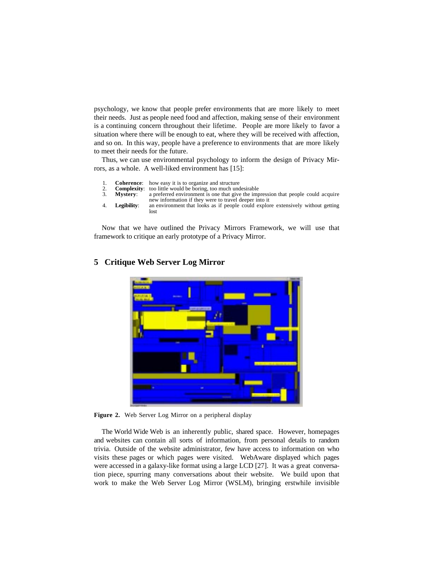psychology, we know that people prefer environments that are more likely to meet their needs. Just as people need food and affection, making sense of their environment is a continuing concern throughout their lifetime. People are more likely to favor a situation where there will be enough to eat, where they will be received with affection, and so on. In this way, people have a preference to environments that are more likely to meet their needs for the future.

Thus, we can use environmental psychology to inform the design of Privacy Mirrors, as a whole. A well-liked environment has [15]:

- 1. **Coherence:** how easy it is to organize and structure<br>2. **Complexity:** too little would be boring, too much und<br>3. **Mystery:** a preferred environment is one that give
- **Complexity:** too little would be boring, too much undesirable **Mystery:** a preferred environment is one that give the imp
- a preferred environment is one that give the impression that people could acquire new information if they were to travel deeper into it
- 4. **Legibility**: an environment that looks as if people could explore extensively without getting lost

Now that we have outlined the Privacy Mirrors Framework, we will use that framework to critique an early prototype of a Privacy Mirror.



## **5 Critique Web Server Log Mirror**

**Figure 2.** Web Server Log Mirror on a peripheral display

The World Wide Web is an inherently public, shared space. However, homepages and websites can contain all sorts of information, from personal details to random trivia. Outside of the website administrator, few have access to information on who visits these pages or which pages were visited. WebAware displayed which pages were accessed in a galaxy-like format using a large LCD [27]. It was a great conversation piece, spurring many conversations about their website. We build upon that work to make the Web Server Log Mirror (WSLM), bringing erstwhile invisible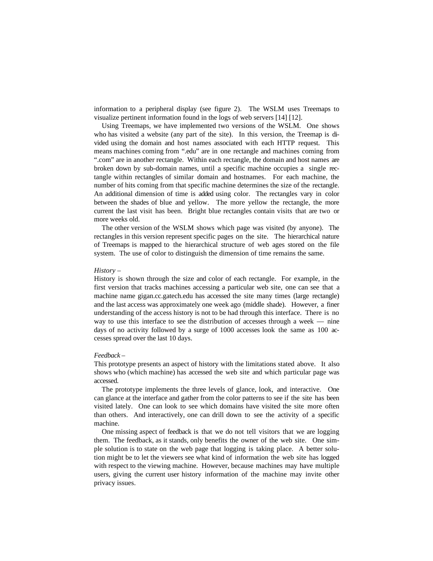information to a peripheral display (see figure 2). The WSLM uses Treemaps to visualize pertinent information found in the logs of web servers [14] [12].

Using Treemaps, we have implemented two versions of the WSLM. One shows who has visited a website (any part of the site). In this version, the Treemap is divided using the domain and host names associated with each HTTP request. This means machines coming from ".edu" are in one rectangle and machines coming from ".com" are in another rectangle. Within each rectangle, the domain and host names are broken down by sub-domain names, until a specific machine occupies a single rectangle within rectangles of similar domain and hostnames. For each machine, the number of hits coming from that specific machine determines the size of the rectangle. An additional dimension of time is added using color. The rectangles vary in color between the shades of blue and yellow. The more yellow the rectangle, the more current the last visit has been. Bright blue rectangles contain visits that are two or more weeks old.

The other version of the WSLM shows which page was visited (by anyone). The rectangles in this version represent specific pages on the site. The hierarchical nature of Treemaps is mapped to the hierarchical structure of web ages stored on the file system. The use of color to distinguish the dimension of time remains the same.

#### *History* –

History is shown through the size and color of each rectangle. For example, in the first version that tracks machines accessing a particular web site, one can see that a machine name gigan.cc.gatech.edu has accessed the site many times (large rectangle) and the last access was approximately one week ago (middle shade). However, a finer understanding of the access history is not to be had through this interface. There is no way to use this interface to see the distribution of accesses through a week — nine days of no activity followed by a surge of 1000 accesses look the same as 100 accesses spread over the last 10 days.

### *Feedback* –

This prototype presents an aspect of history with the limitations stated above. It also shows who (which machine) has accessed the web site and which particular page was accessed.

The prototype implements the three levels of glance, look, and interactive. One can glance at the interface and gather from the color patterns to see if the site has been visited lately. One can look to see which domains have visited the site more often than others. And interactively, one can drill down to see the activity of a specific machine.

One missing aspect of feedback is that we do not tell visitors that we are logging them. The feedback, as it stands, only benefits the owner of the web site. One simple solution is to state on the web page that logging is taking place. A better solution might be to let the viewers see what kind of information the web site has logged with respect to the viewing machine. However, because machines may have multiple users, giving the current user history information of the machine may invite other privacy issues.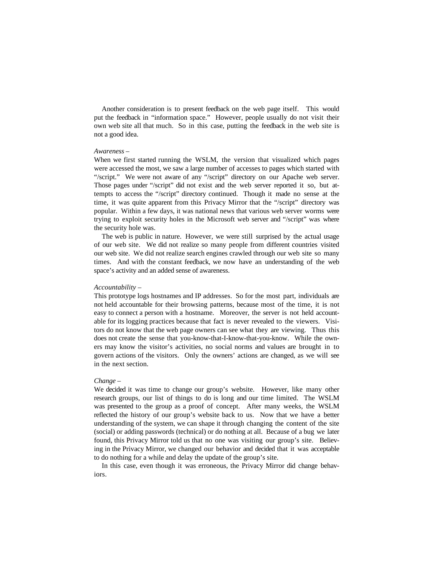Another consideration is to present feedback on the web page itself. This would put the feedback in "information space." However, people usually do not visit their own web site all that much. So in this case, putting the feedback in the web site is not a good idea.

#### *Awareness* –

When we first started running the WSLM, the version that visualized which pages were accessed the most, we saw a large number of accesses to pages which started with "/script." We were not aware of any "/script" directory on our Apache web server. Those pages under "/script" did not exist and the web server reported it so, but attempts to access the "/script" directory continued. Though it made no sense at the time, it was quite apparent from this Privacy Mirror that the "/script" directory was popular. Within a few days, it was national news that various web server worms were trying to exploit security holes in the Microsoft web server and "/script" was where the security hole was.

The web is public in nature. However, we were still surprised by the actual usage of our web site. We did not realize so many people from different countries visited our web site. We did not realize search engines crawled through our web site so many times. And with the constant feedback, we now have an understanding of the web space's activity and an added sense of awareness.

### *Accountability* –

This prototype logs hostnames and IP addresses. So for the most part, individuals are not held accountable for their browsing patterns, because most of the time, it is not easy to connect a person with a hostname. Moreover, the server is not held accountable for its logging practices because that fact is never revealed to the viewers. Visitors do not know that the web page owners can see what they are viewing. Thus this does not create the sense that you-know-that-I-know-that-you-know. While the owners may know the visitor's activities, no social norms and values are brought in to govern actions of the visitors. Only the owners' actions are changed, as we will see in the next section.

### *Change* –

We decided it was time to change our group's website. However, like many other research groups, our list of things to do is long and our time limited. The WSLM was presented to the group as a proof of concept. After many weeks, the WSLM reflected the history of our group's website back to us. Now that we have a better understanding of the system, we can shape it through changing the content of the site (social) or adding passwords (technical) or do nothing at all. Because of a bug we later found, this Privacy Mirror told us that no one was visiting our group's site. Believing in the Privacy Mirror, we changed our behavior and decided that it was acceptable to do nothing for a while and delay the update of the group's site.

In this case, even though it was erroneous, the Privacy Mirror did change behaviors.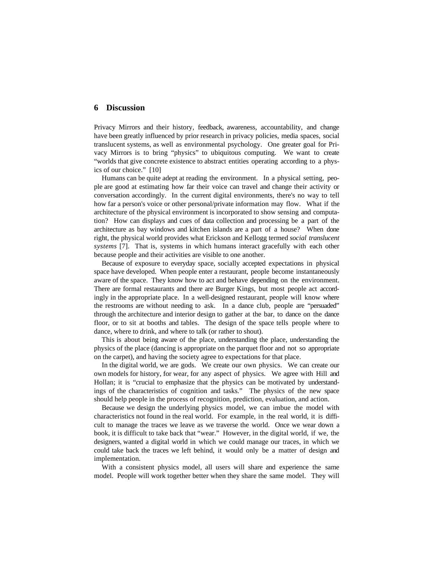### **6 Discussion**

Privacy Mirrors and their history, feedback, awareness, accountability, and change have been greatly influenced by prior research in privacy policies, media spaces, social translucent systems, as well as environmental psychology. One greater goal for Privacy Mirrors is to bring "physics" to ubiquitous computing. We want to create "worlds that give concrete existence to abstract entities operating according to a physics of our choice." [10]

Humans can be quite adept at reading the environment. In a physical setting, people are good at estimating how far their voice can travel and change their activity or conversation accordingly. In the current digital environments, there's no way to tell how far a person's voice or other personal/private information may flow. What if the architecture of the physical environment is incorporated to show sensing and computation? How can displays and cues of data collection and processing be a part of the architecture as bay windows and kitchen islands are a part of a house? When done right, the physical world provides what Erickson and Kellogg termed *social translucent systems* [7]. That is, systems in which humans interact gracefully with each other because people and their activities are visible to one another.

Because of exposure to everyday space, socially accepted expectations in physical space have developed. When people enter a restaurant, people become instantaneously aware of the space. They know how to act and behave depending on the environment. There are formal restaurants and there are Burger Kings, but most people act accordingly in the appropriate place. In a well-designed restaurant, people will know where the restrooms are without needing to ask. In a dance club, people are "persuaded" through the architecture and interior design to gather at the bar, to dance on the dance floor, or to sit at booths and tables. The design of the space tells people where to dance, where to drink, and where to talk (or rather to shout).

This is about being aware of the place, understanding the place, understanding the physics of the place (dancing is appropriate on the parquet floor and not so appropriate on the carpet), and having the society agree to expectations for that place.

In the digital world, we are gods. We create our own physics. We can create our own models for history, for wear, for any aspect of physics. We agree with Hill and Hollan; it is "crucial to emphasize that the physics can be motivated by understandings of the characteristics of cognition and tasks." The physics of the new space should help people in the process of recognition, prediction, evaluation, and action.

Because we design the underlying physics model, we can imbue the model with characteristics not found in the real world. For example, in the real world, it is difficult to manage the traces we leave as we traverse the world. Once we wear down a book, it is difficult to take back that "wear." However, in the digital world, if we, the designers, wanted a digital world in which we could manage our traces, in which we could take back the traces we left behind, it would only be a matter of design and implementation.

With a consistent physics model, all users will share and experience the same model. People will work together better when they share the same model. They will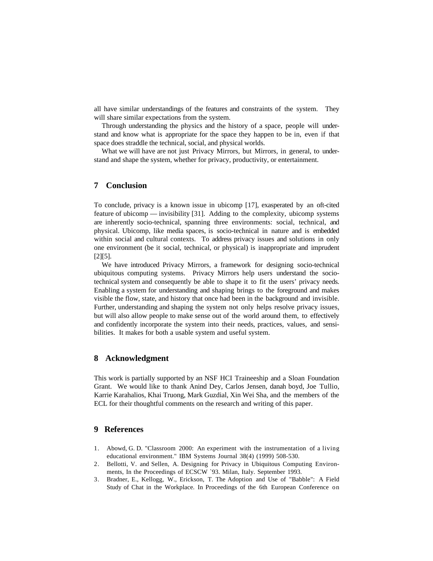all have similar understandings of the features and constraints of the system. They will share similar expectations from the system.

Through understanding the physics and the history of a space, people will understand and know what is appropriate for the space they happen to be in, even if that space does straddle the technical, social, and physical worlds.

What we will have are not just Privacy Mirrors, but Mirrors, in general, to understand and shape the system, whether for privacy, productivity, or entertainment.

## **7 Conclusion**

To conclude, privacy is a known issue in ubicomp [17], exasperated by an oft-cited feature of ubicomp — invisibility [31]. Adding to the complexity, ubicomp systems are inherently socio-technical, spanning three environments: social, technical, and physical. Ubicomp, like media spaces, is socio-technical in nature and is embedded within social and cultural contexts. To address privacy issues and solutions in only one environment (be it social, technical, or physical) is inappropriate and imprudent [2][5].

We have introduced Privacy Mirrors, a framework for designing socio-technical ubiquitous computing systems. Privacy Mirrors help users understand the sociotechnical system and consequently be able to shape it to fit the users' privacy needs. Enabling a system for understanding and shaping brings to the foreground and makes visible the flow, state, and history that once had been in the background and invisible. Further, understanding and shaping the system not only helps resolve privacy issues, but will also allow people to make sense out of the world around them, to effectively and confidently incorporate the system into their needs, practices, values, and sensibilities. It makes for both a usable system and useful system.

## **8 Acknowledgment**

This work is partially supported by an NSF HCI Traineeship and a Sloan Foundation Grant. We would like to thank Anind Dey, Carlos Jensen, danah boyd, Joe Tullio, Karrie Karahalios, Khai Truong, Mark Guzdial, Xin Wei Sha, and the members of the ECL for their thoughtful comments on the research and writing of this paper.

## **9 References**

- 1. Abowd, G. D. "Classroom 2000: An experiment with the instrumentation of a living educational environment." IBM Systems Journal 38(4) (1999) 508-530.
- 2. Bellotti, V. and Sellen, A. Designing for Privacy in Ubiquitous Computing Environments, In the Proceedings of ECSCW `93. Milan, Italy. September 1993.
- 3. Bradner, E., Kellogg, W., Erickson, T. The Adoption and Use of "Babble": A Field Study of Chat in the Workplace. In Proceedings of the 6th European Conference on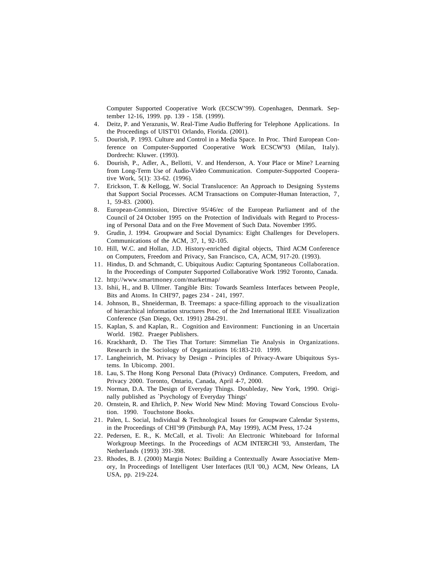Computer Supported Cooperative Work (ECSCW'99). Copenhagen, Denmark. September 12-16, 1999. pp. 139 - 158. (1999).

- 4. Deitz, P. and Yerazunis, W. Real-Time Audio Buffering for Telephone Applications. In the Proceedings of UIST'01 Orlando, Florida. (2001).
- 5. Dourish, P. 1993. Culture and Control in a Media Space. In Proc. Third European Conference on Computer-Supported Cooperative Work ECSCW'93 (Milan, Italy). Dordrecht: Kluwer. (1993).
- 6. Dourish, P., Adler, A., Bellotti, V. and Henderson, A. Your Place or Mine? Learning from Long-Term Use of Audio-Video Communication. Computer-Supported Cooperative Work, 5(1): 33-62. (1996).
- 7. Erickson, T. & Kellogg, W. Social Translucence: An Approach to Designing Systems that Support Social Processes. ACM Transactions on Computer-Human Interaction, 7, 1, 59-83. (2000).
- 8. European-Commission, Directive 95/46/ec of the European Parliament and of the Council of 24 October 1995 on the Protection of Individuals with Regard to Processing of Personal Data and on the Free Movement of Such Data. November 1995.
- 9. Grudin, J. 1994. Groupware and Social Dynamics: Eight Challenges for Developers. Communications of the ACM, 37, 1, 92-105.
- 10. Hill, W.C. and Hollan, J.D. History-enriched digital objects, Third ACM Conference on Computers, Freedom and Privacy, San Francisco, CA, ACM, 917-20. (1993).
- 11. Hindus, D. and Schmandt, C. Ubiquitous Audio: Capturing Spontaneous Collaboration. In the Proceedings of Computer Supported Collaborative Work 1992 Toronto, Canada.
- 12. http://www.smartmoney.com/marketmap/
- 13. Ishii, H., and B. Ullmer. Tangible Bits: Towards Seamless Interfaces between People, Bits and Atoms. In CHI'97, pages 234 - 241, 1997.
- 14. Johnson, B., Shneiderman, B. Treemaps: a space-filling approach to the visualization of hierarchical information structures Proc. of the 2nd International IEEE Visualization Conference (San Diego, Oct. 1991) 284-291.
- 15. Kaplan, S. and Kaplan, R.. Cognition and Environment: Functioning in an Uncertain World. 1982. Praeger Publishers.
- 16. Krackhardt, D. The Ties That Torture: Simmelian Tie Analysis in Organizations. Research in the Sociology of Organizations 16:183-210. 1999.
- 17. Langheinrich, M. Privacy by Design Principles of Privacy-Aware Ubiquitous Systems. In Ubicomp. 2001.
- 18. Lau, S. The Hong Kong Personal Data (Privacy) Ordinance. Computers, Freedom, and Privacy 2000. Toronto, Ontario, Canada, April 4-7, 2000.
- 19. Norman, D.A. The Design of Everyday Things. Doubleday, New York, 1990. Originally published as `Psychology of Everyday Things'
- 20. Ornstein, R. and Ehrlich, P. New World New Mind: Moving Toward Conscious Evolution. 1990. Touchstone Books.
- 21. Palen, L. Social, Individual & Technological Issues for Groupware Calendar Systems, in the Proceedings of CHI'99 (Pittsburgh PA, May 1999), ACM Press, 17-24
- 22. Pedersen, E. R., K. McCall, et al. Tivoli: An Electronic Whiteboard for Informal Workgroup Meetings. In the Proceedings of ACM INTERCHI '93, Amsterdam, The Netherlands (1993) 391-398.
- 23. Rhodes, B. J. (2000) Margin Notes: Building a Contextually Aware Associative Memory, In Proceedings of Intelligent User Interfaces (IUI '00,) ACM, New Orleans, LA USA, pp. 219-224.